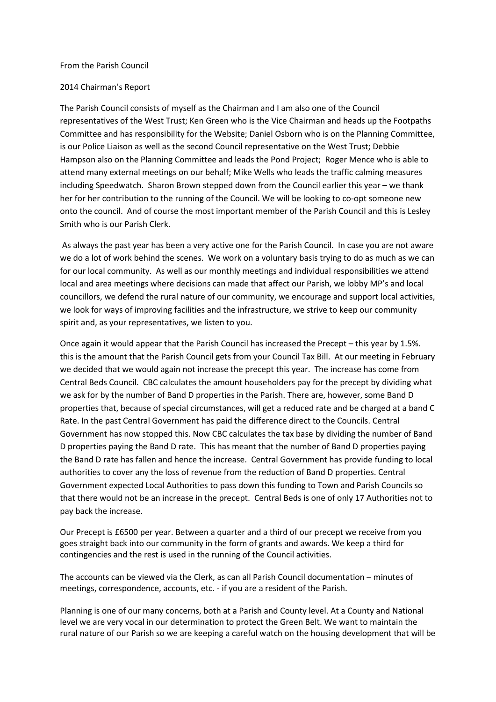## From the Parish Council

## 2014 Chairman's Report

The Parish Council consists of myself as the Chairman and I am also one of the Council representatives of the West Trust; Ken Green who is the Vice Chairman and heads up the Footpaths Committee and has responsibility for the Website; Daniel Osborn who is on the Planning Committee, is our Police Liaison as well as the second Council representative on the West Trust; Debbie Hampson also on the Planning Committee and leads the Pond Project; Roger Mence who is able to attend many external meetings on our behalf; Mike Wells who leads the traffic calming measures including Speedwatch. Sharon Brown stepped down from the Council earlier this year – we thank her for her contribution to the running of the Council. We will be looking to co-opt someone new onto the council. And of course the most important member of the Parish Council and this is Lesley Smith who is our Parish Clerk.

 As always the past year has been a very active one for the Parish Council. In case you are not aware we do a lot of work behind the scenes. We work on a voluntary basis trying to do as much as we can for our local community. As well as our monthly meetings and individual responsibilities we attend local and area meetings where decisions can made that affect our Parish, we lobby MP's and local councillors, we defend the rural nature of our community, we encourage and support local activities, we look for ways of improving facilities and the infrastructure, we strive to keep our community spirit and, as your representatives, we listen to you.

Once again it would appear that the Parish Council has increased the Precept – this year by 1.5%. this is the amount that the Parish Council gets from your Council Tax Bill. At our meeting in February we decided that we would again not increase the precept this year. The increase has come from Central Beds Council. CBC calculates the amount householders pay for the precept by dividing what we ask for by the number of Band D properties in the Parish. There are, however, some Band D properties that, because of special circumstances, will get a reduced rate and be charged at a band C Rate. In the past Central Government has paid the difference direct to the Councils. Central Government has now stopped this. Now CBC calculates the tax base by dividing the number of Band D properties paying the Band D rate. This has meant that the number of Band D properties paying the Band D rate has fallen and hence the increase. Central Government has provide funding to local authorities to cover any the loss of revenue from the reduction of Band D properties. Central Government expected Local Authorities to pass down this funding to Town and Parish Councils so that there would not be an increase in the precept. Central Beds is one of only 17 Authorities not to pay back the increase.

Our Precept is £6500 per year. Between a quarter and a third of our precept we receive from you goes straight back into our community in the form of grants and awards. We keep a third for contingencies and the rest is used in the running of the Council activities.

The accounts can be viewed via the Clerk, as can all Parish Council documentation – minutes of meetings, correspondence, accounts, etc. - if you are a resident of the Parish.

Planning is one of our many concerns, both at a Parish and County level. At a County and National level we are very vocal in our determination to protect the Green Belt. We want to maintain the rural nature of our Parish so we are keeping a careful watch on the housing development that will be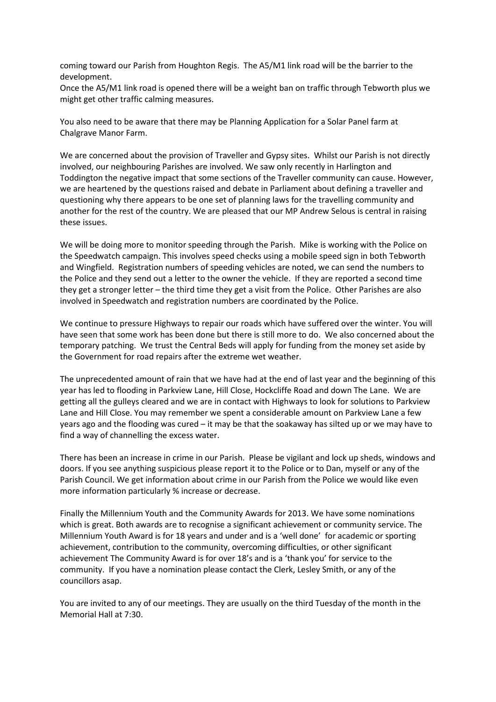coming toward our Parish from Houghton Regis. The A5/M1 link road will be the barrier to the development.

Once the A5/M1 link road is opened there will be a weight ban on traffic through Tebworth plus we might get other traffic calming measures.

You also need to be aware that there may be Planning Application for a Solar Panel farm at Chalgrave Manor Farm.

We are concerned about the provision of Traveller and Gypsy sites. Whilst our Parish is not directly involved, our neighbouring Parishes are involved. We saw only recently in Harlington and Toddington the negative impact that some sections of the Traveller community can cause. However, we are heartened by the questions raised and debate in Parliament about defining a traveller and questioning why there appears to be one set of planning laws for the travelling community and another for the rest of the country. We are pleased that our MP Andrew Selous is central in raising these issues.

We will be doing more to monitor speeding through the Parish. Mike is working with the Police on the Speedwatch campaign. This involves speed checks using a mobile speed sign in both Tebworth and Wingfield. Registration numbers of speeding vehicles are noted, we can send the numbers to the Police and they send out a letter to the owner the vehicle. If they are reported a second time they get a stronger letter – the third time they get a visit from the Police. Other Parishes are also involved in Speedwatch and registration numbers are coordinated by the Police.

We continue to pressure Highways to repair our roads which have suffered over the winter. You will have seen that some work has been done but there is still more to do. We also concerned about the temporary patching. We trust the Central Beds will apply for funding from the money set aside by the Government for road repairs after the extreme wet weather.

The unprecedented amount of rain that we have had at the end of last year and the beginning of this year has led to flooding in Parkview Lane, Hill Close, Hockcliffe Road and down The Lane. We are getting all the gulleys cleared and we are in contact with Highways to look for solutions to Parkview Lane and Hill Close. You may remember we spent a considerable amount on Parkview Lane a few years ago and the flooding was cured – it may be that the soakaway has silted up or we may have to find a way of channelling the excess water.

There has been an increase in crime in our Parish. Please be vigilant and lock up sheds, windows and doors. If you see anything suspicious please report it to the Police or to Dan, myself or any of the Parish Council. We get information about crime in our Parish from the Police we would like even more information particularly % increase or decrease.

Finally the Millennium Youth and the Community Awards for 2013. We have some nominations which is great. Both awards are to recognise a significant achievement or community service. The Millennium Youth Award is for 18 years and under and is a 'well done' for academic or sporting achievement, contribution to the community, overcoming difficulties, or other significant achievement The Community Award is for over 18's and is a 'thank you' for service to the community. If you have a nomination please contact the Clerk, Lesley Smith, or any of the councillors asap.

You are invited to any of our meetings. They are usually on the third Tuesday of the month in the Memorial Hall at 7:30.